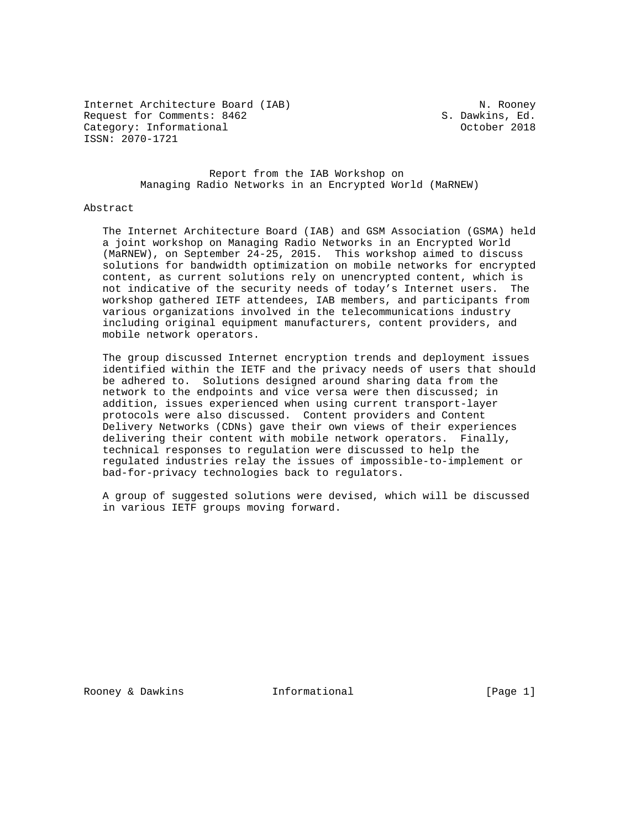Internet Architecture Board (IAB) N. Rooney Request for Comments: 8462 S. Dawkins, Ed.<br>
Category: Informational Same Category: Informational Category: Informational ISSN: 2070-1721

 Report from the IAB Workshop on Managing Radio Networks in an Encrypted World (MaRNEW)

### Abstract

 The Internet Architecture Board (IAB) and GSM Association (GSMA) held a joint workshop on Managing Radio Networks in an Encrypted World (MaRNEW), on September 24-25, 2015. This workshop aimed to discuss solutions for bandwidth optimization on mobile networks for encrypted content, as current solutions rely on unencrypted content, which is not indicative of the security needs of today's Internet users. The workshop gathered IETF attendees, IAB members, and participants from various organizations involved in the telecommunications industry including original equipment manufacturers, content providers, and mobile network operators.

 The group discussed Internet encryption trends and deployment issues identified within the IETF and the privacy needs of users that should be adhered to. Solutions designed around sharing data from the network to the endpoints and vice versa were then discussed; in addition, issues experienced when using current transport-layer protocols were also discussed. Content providers and Content Delivery Networks (CDNs) gave their own views of their experiences delivering their content with mobile network operators. Finally, technical responses to regulation were discussed to help the regulated industries relay the issues of impossible-to-implement or bad-for-privacy technologies back to regulators.

 A group of suggested solutions were devised, which will be discussed in various IETF groups moving forward.

Rooney & Dawkins **Informational** [Page 1]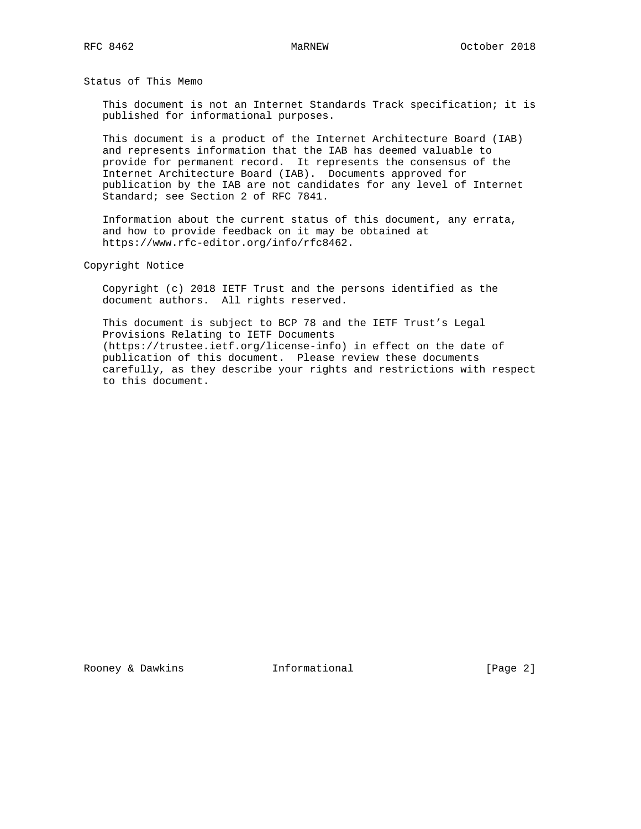Status of This Memo

 This document is not an Internet Standards Track specification; it is published for informational purposes.

 This document is a product of the Internet Architecture Board (IAB) and represents information that the IAB has deemed valuable to provide for permanent record. It represents the consensus of the Internet Architecture Board (IAB). Documents approved for publication by the IAB are not candidates for any level of Internet Standard; see Section 2 of RFC 7841.

 Information about the current status of this document, any errata, and how to provide feedback on it may be obtained at https://www.rfc-editor.org/info/rfc8462.

Copyright Notice

 Copyright (c) 2018 IETF Trust and the persons identified as the document authors. All rights reserved.

 This document is subject to BCP 78 and the IETF Trust's Legal Provisions Relating to IETF Documents (https://trustee.ietf.org/license-info) in effect on the date of publication of this document. Please review these documents carefully, as they describe your rights and restrictions with respect to this document.

Rooney & Dawkins **Informational** [Page 2]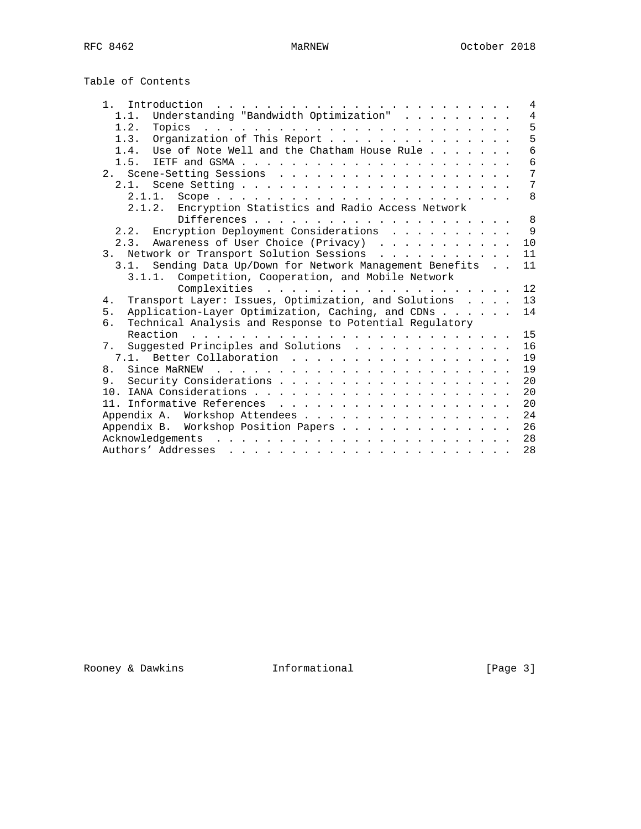| Table of Contents |
|-------------------|
|-------------------|

| 1.<br>Introduction.<br>the contract of the contract of the contract of the contract of the contract of the contract of the contract of the contract of the contract of the contract of the contract of the contract of the contract of the contract o | $\overline{4}$ |
|-------------------------------------------------------------------------------------------------------------------------------------------------------------------------------------------------------------------------------------------------------|----------------|
| Understanding "Bandwidth Optimization"<br>1.1.                                                                                                                                                                                                        | $\overline{4}$ |
| 1.2.<br>Topics                                                                                                                                                                                                                                        | 5              |
| Organization of This Report<br>1.3.                                                                                                                                                                                                                   | 5              |
| Use of Note Well and the Chatham House Rule<br>1.4.                                                                                                                                                                                                   | 6              |
| 1.5.                                                                                                                                                                                                                                                  | 6              |
|                                                                                                                                                                                                                                                       | 7              |
|                                                                                                                                                                                                                                                       | 7              |
| 2.1.1.                                                                                                                                                                                                                                                | 8              |
| 2.1.2. Encryption Statistics and Radio Access Network                                                                                                                                                                                                 |                |
|                                                                                                                                                                                                                                                       | 8              |
| 2.2. Encryption Deployment Considerations                                                                                                                                                                                                             | $\mathsf{Q}$   |
| Awareness of User Choice (Privacy)<br>2.3.                                                                                                                                                                                                            | 10             |
| Network or Transport Solution Sessions<br>3 <sub>1</sub>                                                                                                                                                                                              | 11             |
| Sending Data Up/Down for Network Management Benefits<br>3.1.                                                                                                                                                                                          | 11             |
| 3.1.1. Competition, Cooperation, and Mobile Network                                                                                                                                                                                                   |                |
|                                                                                                                                                                                                                                                       | 12             |
| Transport Layer: Issues, Optimization, and Solutions<br>4.                                                                                                                                                                                            | 13             |
| Application-Layer Optimization, Caching, and CDNs<br>5.                                                                                                                                                                                               | 14             |
| Technical Analysis and Response to Potential Regulatory<br>б.                                                                                                                                                                                         |                |
| Reaction                                                                                                                                                                                                                                              | 15             |
| 7. Suggested Principles and Solutions                                                                                                                                                                                                                 | 16             |
| Better Collaboration<br>7.1.                                                                                                                                                                                                                          | 19             |
| 8.                                                                                                                                                                                                                                                    | 19             |
| 9.                                                                                                                                                                                                                                                    | 20             |
|                                                                                                                                                                                                                                                       | 20             |
|                                                                                                                                                                                                                                                       | 20             |
| Appendix A. Workshop Attendees                                                                                                                                                                                                                        | 24             |
| Appendix B. Workshop Position Papers                                                                                                                                                                                                                  | 26             |
| Acknowledgements                                                                                                                                                                                                                                      | 28             |
| Authors' Addresses<br>والمناور والمناور والمناور والمناور والمناور والمناور والمناور والمناور والمناور                                                                                                                                                | 28             |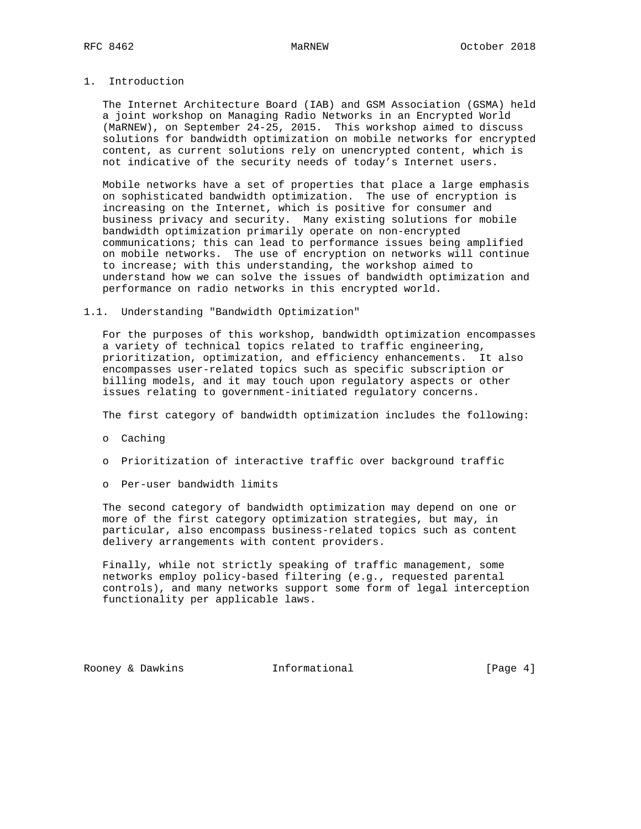# 1. Introduction

 The Internet Architecture Board (IAB) and GSM Association (GSMA) held a joint workshop on Managing Radio Networks in an Encrypted World (MaRNEW), on September 24-25, 2015. This workshop aimed to discuss solutions for bandwidth optimization on mobile networks for encrypted content, as current solutions rely on unencrypted content, which is not indicative of the security needs of today's Internet users.

 Mobile networks have a set of properties that place a large emphasis on sophisticated bandwidth optimization. The use of encryption is increasing on the Internet, which is positive for consumer and business privacy and security. Many existing solutions for mobile bandwidth optimization primarily operate on non-encrypted communications; this can lead to performance issues being amplified on mobile networks. The use of encryption on networks will continue to increase; with this understanding, the workshop aimed to understand how we can solve the issues of bandwidth optimization and performance on radio networks in this encrypted world.

### 1.1. Understanding "Bandwidth Optimization"

 For the purposes of this workshop, bandwidth optimization encompasses a variety of technical topics related to traffic engineering, prioritization, optimization, and efficiency enhancements. It also encompasses user-related topics such as specific subscription or billing models, and it may touch upon regulatory aspects or other issues relating to government-initiated regulatory concerns.

The first category of bandwidth optimization includes the following:

- o Caching
- o Prioritization of interactive traffic over background traffic
- o Per-user bandwidth limits

 The second category of bandwidth optimization may depend on one or more of the first category optimization strategies, but may, in particular, also encompass business-related topics such as content delivery arrangements with content providers.

 Finally, while not strictly speaking of traffic management, some networks employ policy-based filtering (e.g., requested parental controls), and many networks support some form of legal interception functionality per applicable laws.

Rooney & Dawkins **Informational** [Page 4]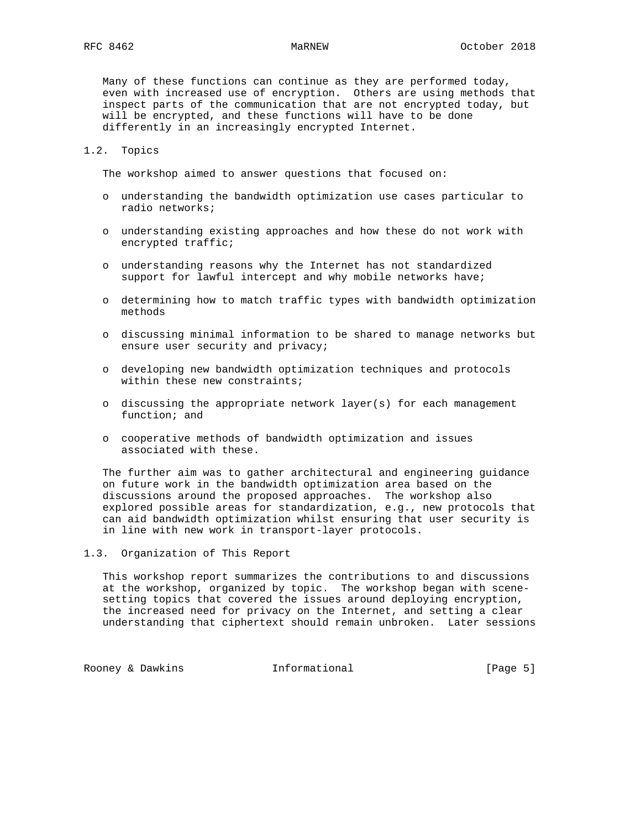Many of these functions can continue as they are performed today, even with increased use of encryption. Others are using methods that inspect parts of the communication that are not encrypted today, but will be encrypted, and these functions will have to be done differently in an increasingly encrypted Internet.

## 1.2. Topics

The workshop aimed to answer questions that focused on:

- o understanding the bandwidth optimization use cases particular to radio networks;
- o understanding existing approaches and how these do not work with encrypted traffic;
- o understanding reasons why the Internet has not standardized support for lawful intercept and why mobile networks have;
- o determining how to match traffic types with bandwidth optimization methods
- o discussing minimal information to be shared to manage networks but ensure user security and privacy;
- o developing new bandwidth optimization techniques and protocols within these new constraints;
- o discussing the appropriate network layer(s) for each management function; and
- o cooperative methods of bandwidth optimization and issues associated with these.

 The further aim was to gather architectural and engineering guidance on future work in the bandwidth optimization area based on the discussions around the proposed approaches. The workshop also explored possible areas for standardization, e.g., new protocols that can aid bandwidth optimization whilst ensuring that user security is in line with new work in transport-layer protocols.

1.3. Organization of This Report

 This workshop report summarizes the contributions to and discussions at the workshop, organized by topic. The workshop began with scene setting topics that covered the issues around deploying encryption, the increased need for privacy on the Internet, and setting a clear understanding that ciphertext should remain unbroken. Later sessions

Rooney & Dawkins Thformational (Page 5)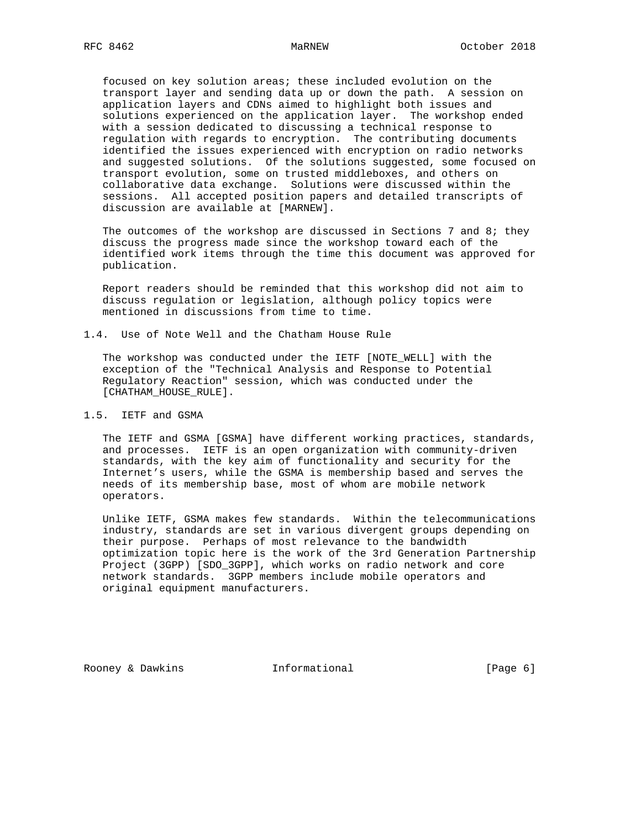focused on key solution areas; these included evolution on the transport layer and sending data up or down the path. A session on application layers and CDNs aimed to highlight both issues and solutions experienced on the application layer. The workshop ended with a session dedicated to discussing a technical response to regulation with regards to encryption. The contributing documents identified the issues experienced with encryption on radio networks and suggested solutions. Of the solutions suggested, some focused on transport evolution, some on trusted middleboxes, and others on collaborative data exchange. Solutions were discussed within the sessions. All accepted position papers and detailed transcripts of discussion are available at [MARNEW].

The outcomes of the workshop are discussed in Sections 7 and 8; they discuss the progress made since the workshop toward each of the identified work items through the time this document was approved for publication.

 Report readers should be reminded that this workshop did not aim to discuss regulation or legislation, although policy topics were mentioned in discussions from time to time.

1.4. Use of Note Well and the Chatham House Rule

 The workshop was conducted under the IETF [NOTE\_WELL] with the exception of the "Technical Analysis and Response to Potential Regulatory Reaction" session, which was conducted under the [CHATHAM\_HOUSE\_RULE].

# 1.5. IETF and GSMA

 The IETF and GSMA [GSMA] have different working practices, standards, and processes. IETF is an open organization with community-driven standards, with the key aim of functionality and security for the Internet's users, while the GSMA is membership based and serves the needs of its membership base, most of whom are mobile network operators.

 Unlike IETF, GSMA makes few standards. Within the telecommunications industry, standards are set in various divergent groups depending on their purpose. Perhaps of most relevance to the bandwidth optimization topic here is the work of the 3rd Generation Partnership Project (3GPP) [SDO\_3GPP], which works on radio network and core network standards. 3GPP members include mobile operators and original equipment manufacturers.

Rooney & Dawkins **Informational** [Page 6]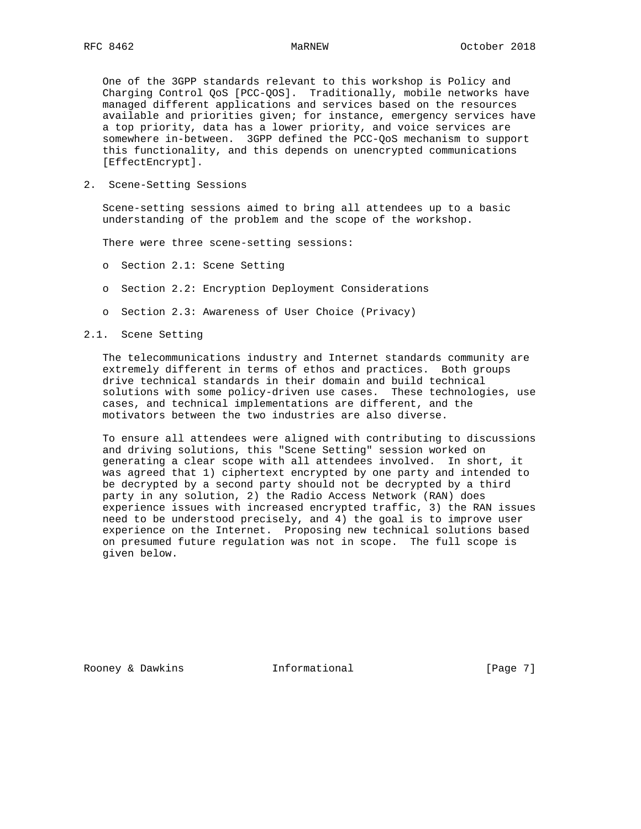One of the 3GPP standards relevant to this workshop is Policy and Charging Control QoS [PCC-QOS]. Traditionally, mobile networks have managed different applications and services based on the resources available and priorities given; for instance, emergency services have a top priority, data has a lower priority, and voice services are somewhere in-between. 3GPP defined the PCC-QoS mechanism to support this functionality, and this depends on unencrypted communications [EffectEncrypt].

2. Scene-Setting Sessions

 Scene-setting sessions aimed to bring all attendees up to a basic understanding of the problem and the scope of the workshop.

There were three scene-setting sessions:

- o Section 2.1: Scene Setting
- o Section 2.2: Encryption Deployment Considerations
- o Section 2.3: Awareness of User Choice (Privacy)
- 2.1. Scene Setting

 The telecommunications industry and Internet standards community are extremely different in terms of ethos and practices. Both groups drive technical standards in their domain and build technical solutions with some policy-driven use cases. These technologies, use cases, and technical implementations are different, and the motivators between the two industries are also diverse.

 To ensure all attendees were aligned with contributing to discussions and driving solutions, this "Scene Setting" session worked on generating a clear scope with all attendees involved. In short, it was agreed that 1) ciphertext encrypted by one party and intended to be decrypted by a second party should not be decrypted by a third party in any solution, 2) the Radio Access Network (RAN) does experience issues with increased encrypted traffic, 3) the RAN issues need to be understood precisely, and 4) the goal is to improve user experience on the Internet. Proposing new technical solutions based on presumed future regulation was not in scope. The full scope is given below.

Rooney & Dawkins **Informational** [Page 7]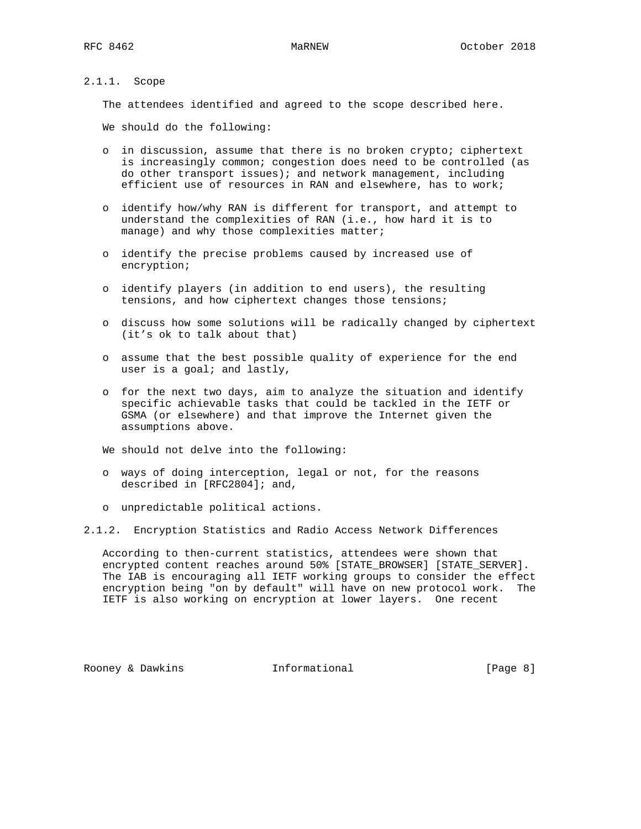## 2.1.1. Scope

The attendees identified and agreed to the scope described here.

We should do the following:

- o in discussion, assume that there is no broken crypto; ciphertext is increasingly common; congestion does need to be controlled (as do other transport issues); and network management, including efficient use of resources in RAN and elsewhere, has to work;
- o identify how/why RAN is different for transport, and attempt to understand the complexities of RAN (i.e., how hard it is to manage) and why those complexities matter;
- o identify the precise problems caused by increased use of encryption;
- o identify players (in addition to end users), the resulting tensions, and how ciphertext changes those tensions;
- o discuss how some solutions will be radically changed by ciphertext (it's ok to talk about that)
- o assume that the best possible quality of experience for the end user is a goal; and lastly,
- o for the next two days, aim to analyze the situation and identify specific achievable tasks that could be tackled in the IETF or GSMA (or elsewhere) and that improve the Internet given the assumptions above.

We should not delve into the following:

- o ways of doing interception, legal or not, for the reasons described in [RFC2804]; and,
- o unpredictable political actions.

### 2.1.2. Encryption Statistics and Radio Access Network Differences

 According to then-current statistics, attendees were shown that encrypted content reaches around 50% [STATE\_BROWSER] [STATE\_SERVER]. The IAB is encouraging all IETF working groups to consider the effect encryption being "on by default" will have on new protocol work. The IETF is also working on encryption at lower layers. One recent

Rooney & Dawkins **Informational** [Page 8]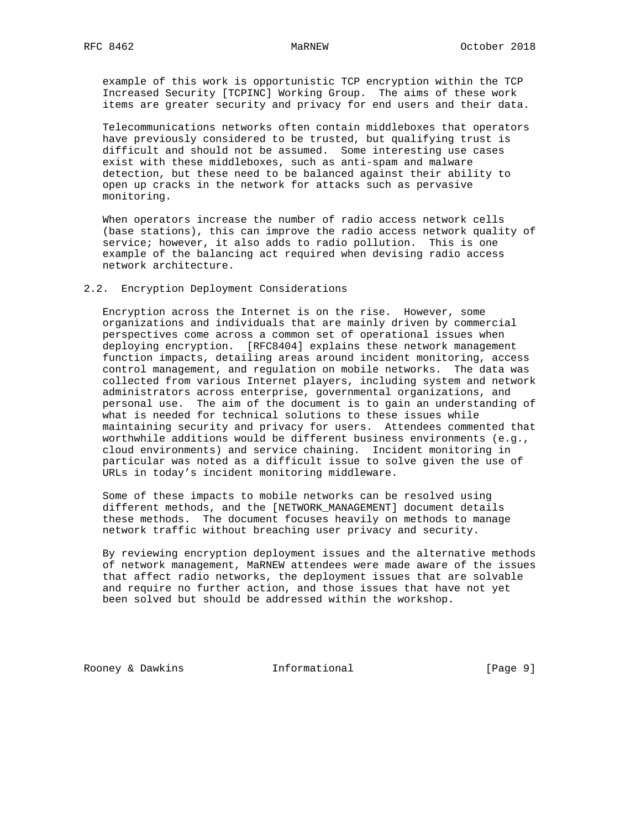example of this work is opportunistic TCP encryption within the TCP Increased Security [TCPINC] Working Group. The aims of these work items are greater security and privacy for end users and their data.

 Telecommunications networks often contain middleboxes that operators have previously considered to be trusted, but qualifying trust is difficult and should not be assumed. Some interesting use cases exist with these middleboxes, such as anti-spam and malware detection, but these need to be balanced against their ability to open up cracks in the network for attacks such as pervasive monitoring.

 When operators increase the number of radio access network cells (base stations), this can improve the radio access network quality of service; however, it also adds to radio pollution. This is one example of the balancing act required when devising radio access network architecture.

## 2.2. Encryption Deployment Considerations

 Encryption across the Internet is on the rise. However, some organizations and individuals that are mainly driven by commercial perspectives come across a common set of operational issues when deploying encryption. [RFC8404] explains these network management function impacts, detailing areas around incident monitoring, access control management, and regulation on mobile networks. The data was collected from various Internet players, including system and network administrators across enterprise, governmental organizations, and personal use. The aim of the document is to gain an understanding of what is needed for technical solutions to these issues while maintaining security and privacy for users. Attendees commented that worthwhile additions would be different business environments (e.g., cloud environments) and service chaining. Incident monitoring in particular was noted as a difficult issue to solve given the use of URLs in today's incident monitoring middleware.

 Some of these impacts to mobile networks can be resolved using different methods, and the [NETWORK\_MANAGEMENT] document details these methods. The document focuses heavily on methods to manage network traffic without breaching user privacy and security.

 By reviewing encryption deployment issues and the alternative methods of network management, MaRNEW attendees were made aware of the issues that affect radio networks, the deployment issues that are solvable and require no further action, and those issues that have not yet been solved but should be addressed within the workshop.

Rooney & Dawkins **Informational** [Page 9]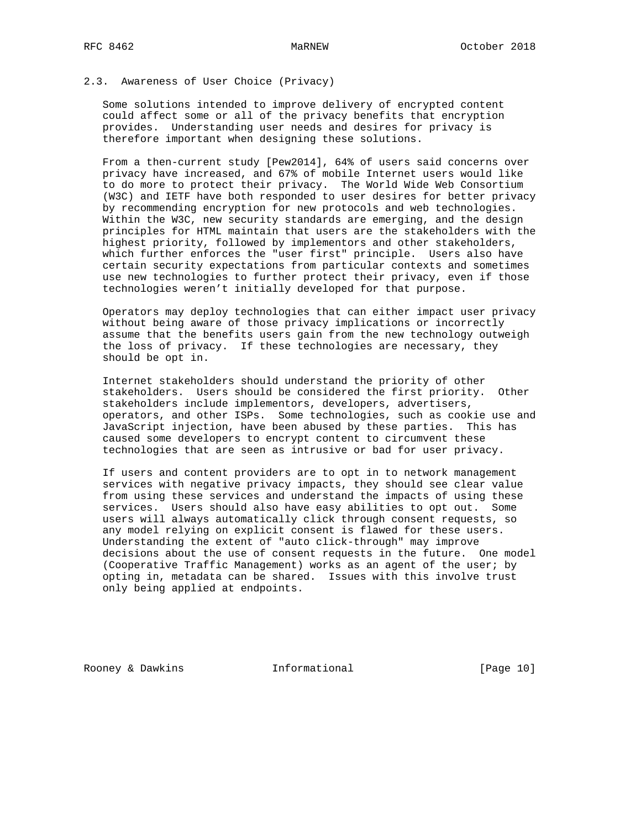## 2.3. Awareness of User Choice (Privacy)

 Some solutions intended to improve delivery of encrypted content could affect some or all of the privacy benefits that encryption provides. Understanding user needs and desires for privacy is therefore important when designing these solutions.

 From a then-current study [Pew2014], 64% of users said concerns over privacy have increased, and 67% of mobile Internet users would like to do more to protect their privacy. The World Wide Web Consortium (W3C) and IETF have both responded to user desires for better privacy by recommending encryption for new protocols and web technologies. Within the W3C, new security standards are emerging, and the design principles for HTML maintain that users are the stakeholders with the highest priority, followed by implementors and other stakeholders, which further enforces the "user first" principle. Users also have certain security expectations from particular contexts and sometimes use new technologies to further protect their privacy, even if those technologies weren't initially developed for that purpose.

 Operators may deploy technologies that can either impact user privacy without being aware of those privacy implications or incorrectly assume that the benefits users gain from the new technology outweigh the loss of privacy. If these technologies are necessary, they should be opt in.

 Internet stakeholders should understand the priority of other stakeholders. Users should be considered the first priority. Other stakeholders include implementors, developers, advertisers, operators, and other ISPs. Some technologies, such as cookie use and JavaScript injection, have been abused by these parties. This has caused some developers to encrypt content to circumvent these technologies that are seen as intrusive or bad for user privacy.

 If users and content providers are to opt in to network management services with negative privacy impacts, they should see clear value from using these services and understand the impacts of using these services. Users should also have easy abilities to opt out. Some users will always automatically click through consent requests, so any model relying on explicit consent is flawed for these users. Understanding the extent of "auto click-through" may improve decisions about the use of consent requests in the future. One model (Cooperative Traffic Management) works as an agent of the user; by opting in, metadata can be shared. Issues with this involve trust only being applied at endpoints.

Rooney & Dawkins Thformational [Page 10]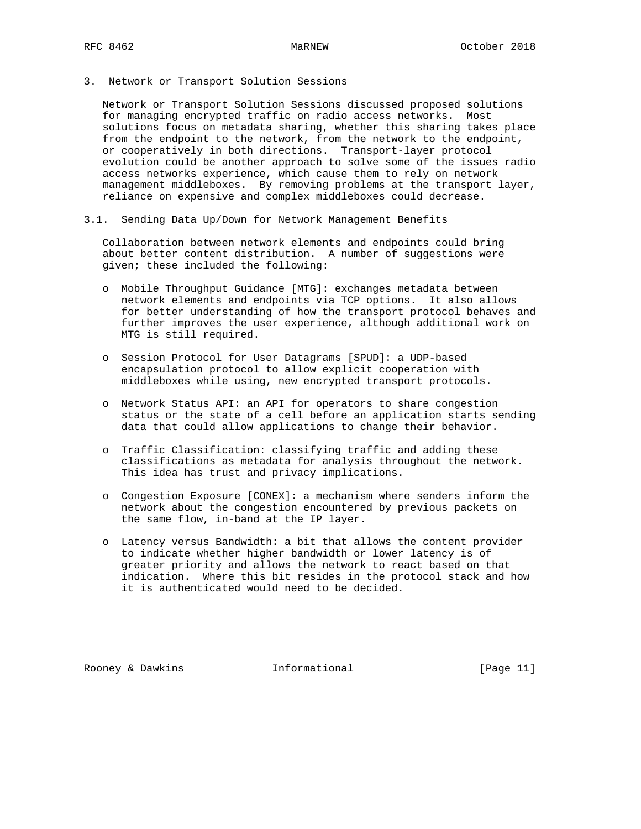3. Network or Transport Solution Sessions

 Network or Transport Solution Sessions discussed proposed solutions for managing encrypted traffic on radio access networks. Most solutions focus on metadata sharing, whether this sharing takes place from the endpoint to the network, from the network to the endpoint, or cooperatively in both directions. Transport-layer protocol evolution could be another approach to solve some of the issues radio access networks experience, which cause them to rely on network management middleboxes. By removing problems at the transport layer, reliance on expensive and complex middleboxes could decrease.

3.1. Sending Data Up/Down for Network Management Benefits

 Collaboration between network elements and endpoints could bring about better content distribution. A number of suggestions were given; these included the following:

- o Mobile Throughput Guidance [MTG]: exchanges metadata between network elements and endpoints via TCP options. It also allows for better understanding of how the transport protocol behaves and further improves the user experience, although additional work on MTG is still required.
- o Session Protocol for User Datagrams [SPUD]: a UDP-based encapsulation protocol to allow explicit cooperation with middleboxes while using, new encrypted transport protocols.
- o Network Status API: an API for operators to share congestion status or the state of a cell before an application starts sending data that could allow applications to change their behavior.
- o Traffic Classification: classifying traffic and adding these classifications as metadata for analysis throughout the network. This idea has trust and privacy implications.
- o Congestion Exposure [CONEX]: a mechanism where senders inform the network about the congestion encountered by previous packets on the same flow, in-band at the IP layer.
- o Latency versus Bandwidth: a bit that allows the content provider to indicate whether higher bandwidth or lower latency is of greater priority and allows the network to react based on that indication. Where this bit resides in the protocol stack and how it is authenticated would need to be decided.

Rooney & Dawkins **Informational** [Page 11]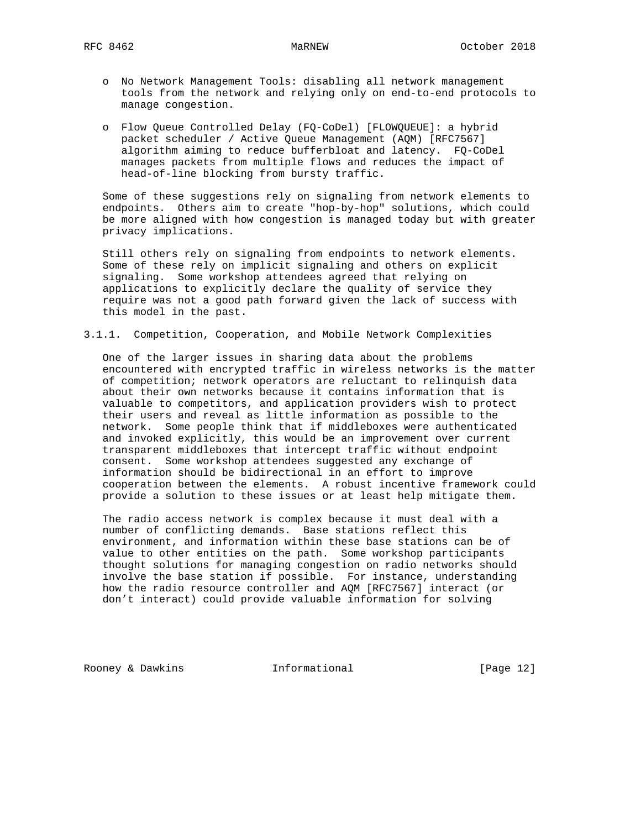- o No Network Management Tools: disabling all network management tools from the network and relying only on end-to-end protocols to manage congestion.
- o Flow Queue Controlled Delay (FQ-CoDel) [FLOWQUEUE]: a hybrid packet scheduler / Active Queue Management (AQM) [RFC7567] algorithm aiming to reduce bufferbloat and latency. FQ-CoDel manages packets from multiple flows and reduces the impact of head-of-line blocking from bursty traffic.

 Some of these suggestions rely on signaling from network elements to endpoints. Others aim to create "hop-by-hop" solutions, which could be more aligned with how congestion is managed today but with greater privacy implications.

 Still others rely on signaling from endpoints to network elements. Some of these rely on implicit signaling and others on explicit signaling. Some workshop attendees agreed that relying on applications to explicitly declare the quality of service they require was not a good path forward given the lack of success with this model in the past.

3.1.1. Competition, Cooperation, and Mobile Network Complexities

 One of the larger issues in sharing data about the problems encountered with encrypted traffic in wireless networks is the matter of competition; network operators are reluctant to relinquish data about their own networks because it contains information that is valuable to competitors, and application providers wish to protect their users and reveal as little information as possible to the network. Some people think that if middleboxes were authenticated and invoked explicitly, this would be an improvement over current transparent middleboxes that intercept traffic without endpoint consent. Some workshop attendees suggested any exchange of information should be bidirectional in an effort to improve cooperation between the elements. A robust incentive framework could provide a solution to these issues or at least help mitigate them.

 The radio access network is complex because it must deal with a number of conflicting demands. Base stations reflect this environment, and information within these base stations can be of value to other entities on the path. Some workshop participants thought solutions for managing congestion on radio networks should involve the base station if possible. For instance, understanding how the radio resource controller and AQM [RFC7567] interact (or don't interact) could provide valuable information for solving

Rooney & Dawkins Thformational [Page 12]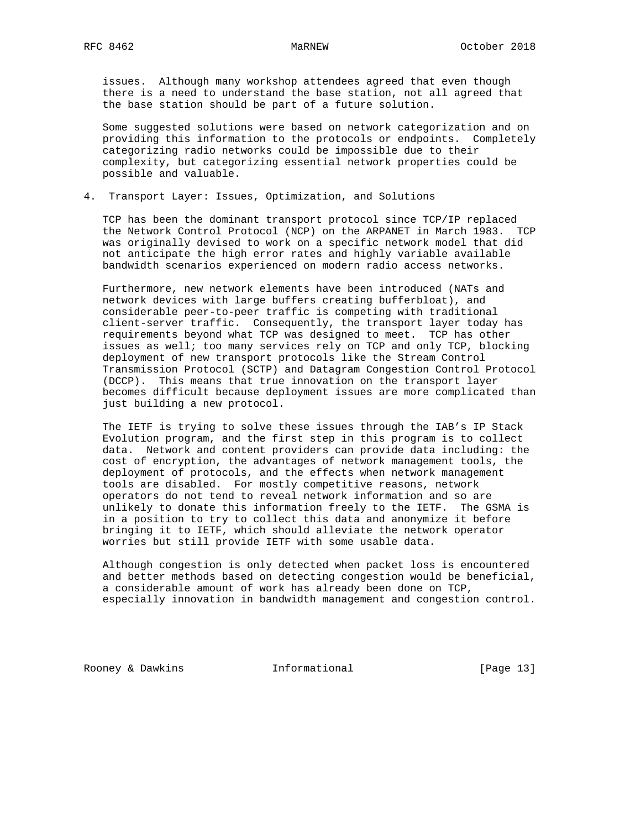issues. Although many workshop attendees agreed that even though there is a need to understand the base station, not all agreed that the base station should be part of a future solution.

 Some suggested solutions were based on network categorization and on providing this information to the protocols or endpoints. Completely categorizing radio networks could be impossible due to their complexity, but categorizing essential network properties could be possible and valuable.

4. Transport Layer: Issues, Optimization, and Solutions

 TCP has been the dominant transport protocol since TCP/IP replaced the Network Control Protocol (NCP) on the ARPANET in March 1983. TCP was originally devised to work on a specific network model that did not anticipate the high error rates and highly variable available bandwidth scenarios experienced on modern radio access networks.

 Furthermore, new network elements have been introduced (NATs and network devices with large buffers creating bufferbloat), and considerable peer-to-peer traffic is competing with traditional client-server traffic. Consequently, the transport layer today has requirements beyond what TCP was designed to meet. TCP has other issues as well; too many services rely on TCP and only TCP, blocking deployment of new transport protocols like the Stream Control Transmission Protocol (SCTP) and Datagram Congestion Control Protocol (DCCP). This means that true innovation on the transport layer becomes difficult because deployment issues are more complicated than just building a new protocol.

 The IETF is trying to solve these issues through the IAB's IP Stack Evolution program, and the first step in this program is to collect data. Network and content providers can provide data including: the cost of encryption, the advantages of network management tools, the deployment of protocols, and the effects when network management tools are disabled. For mostly competitive reasons, network operators do not tend to reveal network information and so are unlikely to donate this information freely to the IETF. The GSMA is in a position to try to collect this data and anonymize it before bringing it to IETF, which should alleviate the network operator worries but still provide IETF with some usable data.

 Although congestion is only detected when packet loss is encountered and better methods based on detecting congestion would be beneficial, a considerable amount of work has already been done on TCP, especially innovation in bandwidth management and congestion control.

Rooney & Dawkins **Informational** [Page 13]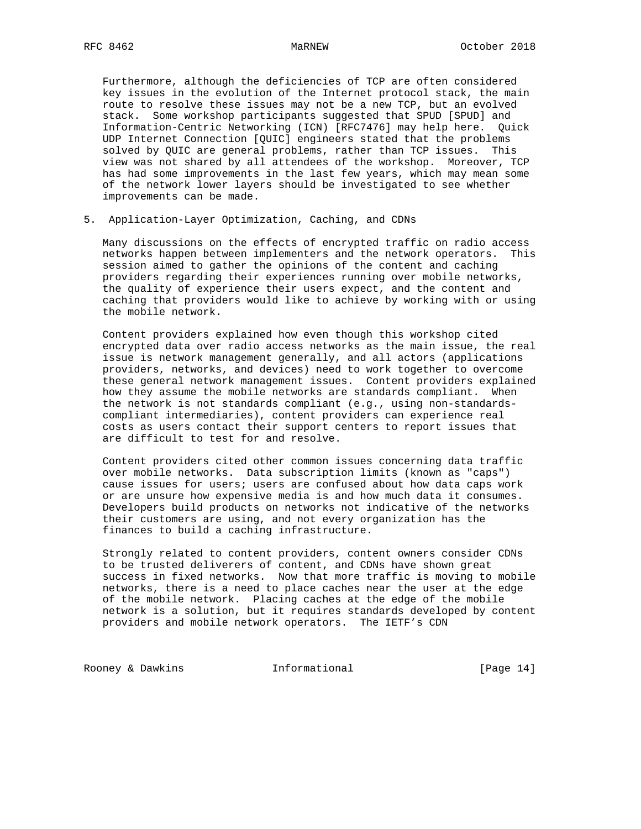Furthermore, although the deficiencies of TCP are often considered key issues in the evolution of the Internet protocol stack, the main route to resolve these issues may not be a new TCP, but an evolved stack. Some workshop participants suggested that SPUD [SPUD] and Information-Centric Networking (ICN) [RFC7476] may help here. Quick UDP Internet Connection [QUIC] engineers stated that the problems solved by QUIC are general problems, rather than TCP issues. This view was not shared by all attendees of the workshop. Moreover, TCP has had some improvements in the last few years, which may mean some of the network lower layers should be investigated to see whether improvements can be made.

5. Application-Layer Optimization, Caching, and CDNs

 Many discussions on the effects of encrypted traffic on radio access networks happen between implementers and the network operators. This session aimed to gather the opinions of the content and caching providers regarding their experiences running over mobile networks, the quality of experience their users expect, and the content and caching that providers would like to achieve by working with or using the mobile network.

 Content providers explained how even though this workshop cited encrypted data over radio access networks as the main issue, the real issue is network management generally, and all actors (applications providers, networks, and devices) need to work together to overcome these general network management issues. Content providers explained how they assume the mobile networks are standards compliant. When the network is not standards compliant (e.g., using non-standards compliant intermediaries), content providers can experience real costs as users contact their support centers to report issues that are difficult to test for and resolve.

 Content providers cited other common issues concerning data traffic over mobile networks. Data subscription limits (known as "caps") cause issues for users; users are confused about how data caps work or are unsure how expensive media is and how much data it consumes. Developers build products on networks not indicative of the networks their customers are using, and not every organization has the finances to build a caching infrastructure.

 Strongly related to content providers, content owners consider CDNs to be trusted deliverers of content, and CDNs have shown great success in fixed networks. Now that more traffic is moving to mobile networks, there is a need to place caches near the user at the edge of the mobile network. Placing caches at the edge of the mobile network is a solution, but it requires standards developed by content providers and mobile network operators. The IETF's CDN

Rooney & Dawkins **Informational** [Page 14]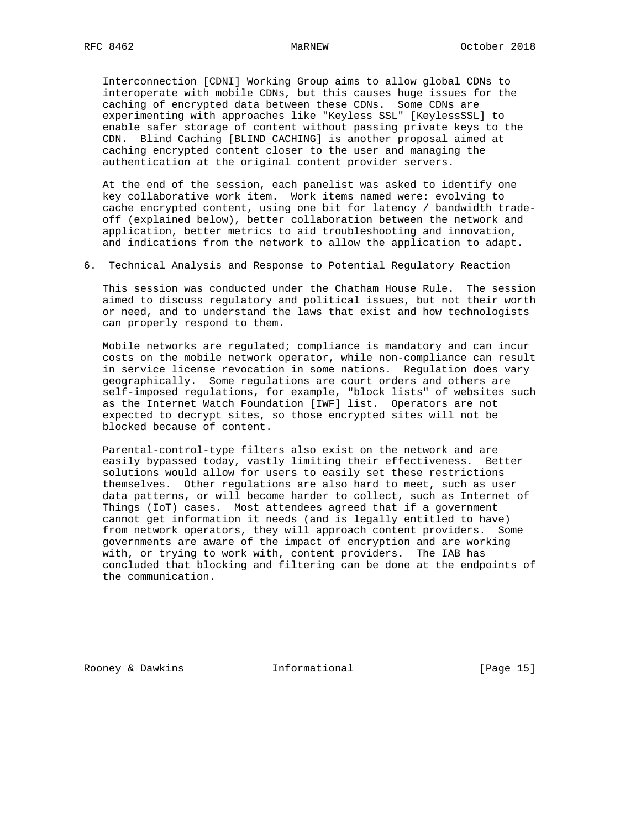Interconnection [CDNI] Working Group aims to allow global CDNs to interoperate with mobile CDNs, but this causes huge issues for the caching of encrypted data between these CDNs. Some CDNs are experimenting with approaches like "Keyless SSL" [KeylessSSL] to enable safer storage of content without passing private keys to the CDN. Blind Caching [BLIND\_CACHING] is another proposal aimed at caching encrypted content closer to the user and managing the authentication at the original content provider servers.

 At the end of the session, each panelist was asked to identify one key collaborative work item. Work items named were: evolving to cache encrypted content, using one bit for latency / bandwidth trade off (explained below), better collaboration between the network and application, better metrics to aid troubleshooting and innovation, and indications from the network to allow the application to adapt.

6. Technical Analysis and Response to Potential Regulatory Reaction

 This session was conducted under the Chatham House Rule. The session aimed to discuss regulatory and political issues, but not their worth or need, and to understand the laws that exist and how technologists can properly respond to them.

 Mobile networks are regulated; compliance is mandatory and can incur costs on the mobile network operator, while non-compliance can result in service license revocation in some nations. Regulation does vary geographically. Some regulations are court orders and others are self-imposed regulations, for example, "block lists" of websites such as the Internet Watch Foundation [IWF] list. Operators are not expected to decrypt sites, so those encrypted sites will not be blocked because of content.

 Parental-control-type filters also exist on the network and are easily bypassed today, vastly limiting their effectiveness. Better solutions would allow for users to easily set these restrictions themselves. Other regulations are also hard to meet, such as user data patterns, or will become harder to collect, such as Internet of Things (IoT) cases. Most attendees agreed that if a government cannot get information it needs (and is legally entitled to have) from network operators, they will approach content providers. Some governments are aware of the impact of encryption and are working with, or trying to work with, content providers. The IAB has concluded that blocking and filtering can be done at the endpoints of the communication.

Rooney & Dawkins Thformational [Page 15]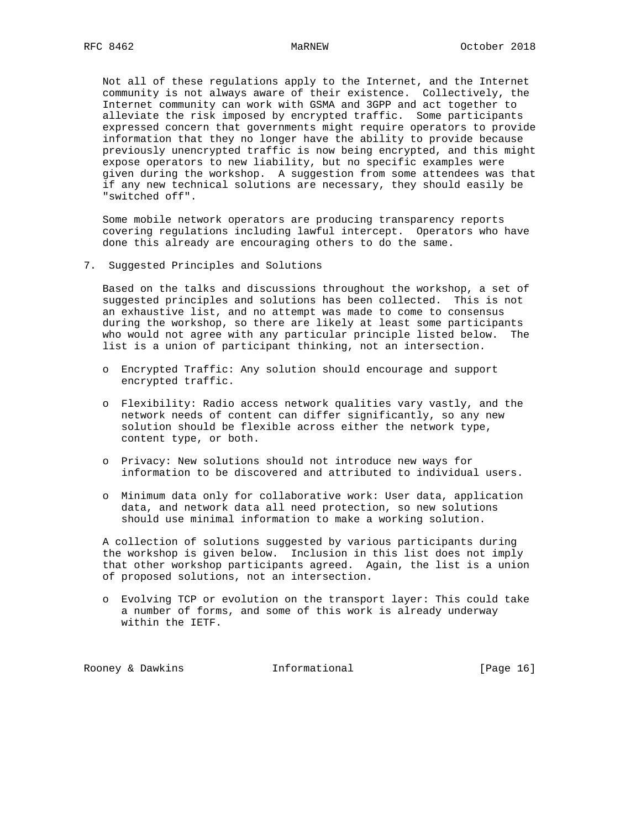Not all of these regulations apply to the Internet, and the Internet community is not always aware of their existence. Collectively, the Internet community can work with GSMA and 3GPP and act together to alleviate the risk imposed by encrypted traffic. Some participants expressed concern that governments might require operators to provide information that they no longer have the ability to provide because previously unencrypted traffic is now being encrypted, and this might expose operators to new liability, but no specific examples were given during the workshop. A suggestion from some attendees was that if any new technical solutions are necessary, they should easily be "switched off".

 Some mobile network operators are producing transparency reports covering regulations including lawful intercept. Operators who have done this already are encouraging others to do the same.

7. Suggested Principles and Solutions

 Based on the talks and discussions throughout the workshop, a set of suggested principles and solutions has been collected. This is not an exhaustive list, and no attempt was made to come to consensus during the workshop, so there are likely at least some participants who would not agree with any particular principle listed below. The list is a union of participant thinking, not an intersection.

- o Encrypted Traffic: Any solution should encourage and support encrypted traffic.
- o Flexibility: Radio access network qualities vary vastly, and the network needs of content can differ significantly, so any new solution should be flexible across either the network type, content type, or both.
- o Privacy: New solutions should not introduce new ways for information to be discovered and attributed to individual users.
- o Minimum data only for collaborative work: User data, application data, and network data all need protection, so new solutions should use minimal information to make a working solution.

 A collection of solutions suggested by various participants during the workshop is given below. Inclusion in this list does not imply that other workshop participants agreed. Again, the list is a union of proposed solutions, not an intersection.

 o Evolving TCP or evolution on the transport layer: This could take a number of forms, and some of this work is already underway within the IETF.

Rooney & Dawkins Thformational [Page 16]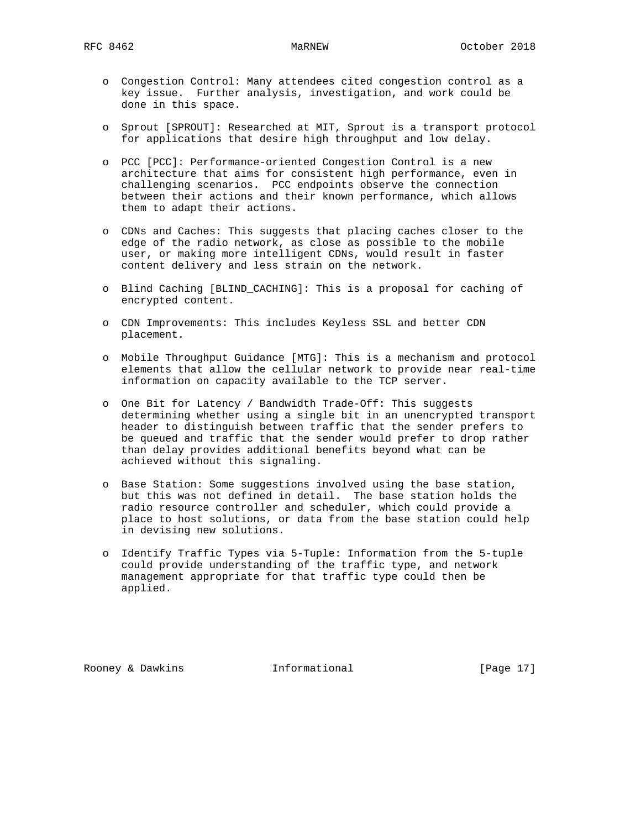- o Congestion Control: Many attendees cited congestion control as a key issue. Further analysis, investigation, and work could be done in this space.
- o Sprout [SPROUT]: Researched at MIT, Sprout is a transport protocol for applications that desire high throughput and low delay.
- o PCC [PCC]: Performance-oriented Congestion Control is a new architecture that aims for consistent high performance, even in challenging scenarios. PCC endpoints observe the connection between their actions and their known performance, which allows them to adapt their actions.
- o CDNs and Caches: This suggests that placing caches closer to the edge of the radio network, as close as possible to the mobile user, or making more intelligent CDNs, would result in faster content delivery and less strain on the network.
- o Blind Caching [BLIND\_CACHING]: This is a proposal for caching of encrypted content.
- o CDN Improvements: This includes Keyless SSL and better CDN placement.
- o Mobile Throughput Guidance [MTG]: This is a mechanism and protocol elements that allow the cellular network to provide near real-time information on capacity available to the TCP server.
- o One Bit for Latency / Bandwidth Trade-Off: This suggests determining whether using a single bit in an unencrypted transport header to distinguish between traffic that the sender prefers to be queued and traffic that the sender would prefer to drop rather than delay provides additional benefits beyond what can be achieved without this signaling.
- o Base Station: Some suggestions involved using the base station, but this was not defined in detail. The base station holds the radio resource controller and scheduler, which could provide a place to host solutions, or data from the base station could help in devising new solutions.
- o Identify Traffic Types via 5-Tuple: Information from the 5-tuple could provide understanding of the traffic type, and network management appropriate for that traffic type could then be applied.

Rooney & Dawkins **Informational** [Page 17]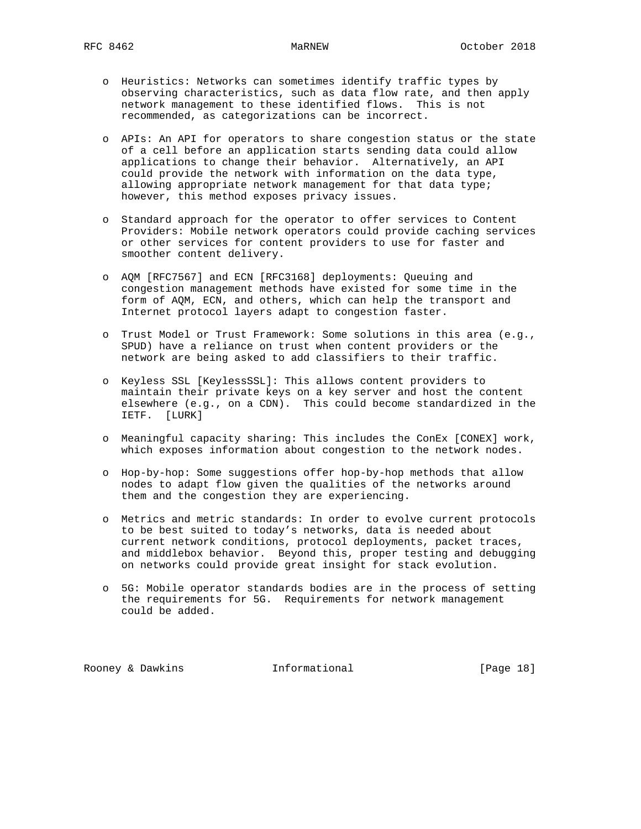- o Heuristics: Networks can sometimes identify traffic types by observing characteristics, such as data flow rate, and then apply network management to these identified flows. This is not recommended, as categorizations can be incorrect.
- o APIs: An API for operators to share congestion status or the state of a cell before an application starts sending data could allow applications to change their behavior. Alternatively, an API could provide the network with information on the data type, allowing appropriate network management for that data type; however, this method exposes privacy issues.
- o Standard approach for the operator to offer services to Content Providers: Mobile network operators could provide caching services or other services for content providers to use for faster and smoother content delivery.
- o AQM [RFC7567] and ECN [RFC3168] deployments: Queuing and congestion management methods have existed for some time in the form of AQM, ECN, and others, which can help the transport and Internet protocol layers adapt to congestion faster.
- o Trust Model or Trust Framework: Some solutions in this area (e.g., SPUD) have a reliance on trust when content providers or the network are being asked to add classifiers to their traffic.
- o Keyless SSL [KeylessSSL]: This allows content providers to maintain their private keys on a key server and host the content elsewhere (e.g., on a CDN). This could become standardized in the IETF. [LURK]
- o Meaningful capacity sharing: This includes the ConEx [CONEX] work, which exposes information about congestion to the network nodes.
- o Hop-by-hop: Some suggestions offer hop-by-hop methods that allow nodes to adapt flow given the qualities of the networks around them and the congestion they are experiencing.
- o Metrics and metric standards: In order to evolve current protocols to be best suited to today's networks, data is needed about current network conditions, protocol deployments, packet traces, and middlebox behavior. Beyond this, proper testing and debugging on networks could provide great insight for stack evolution.
- o 5G: Mobile operator standards bodies are in the process of setting the requirements for 5G. Requirements for network management could be added.

Rooney & Dawkins Thformational [Page 18]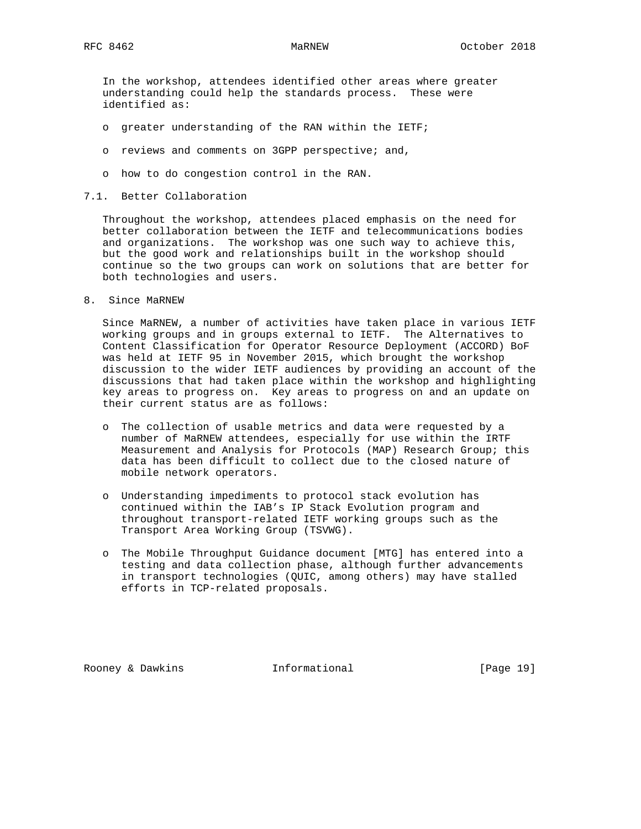In the workshop, attendees identified other areas where greater understanding could help the standards process. These were identified as:

- o greater understanding of the RAN within the IETF;
- o reviews and comments on 3GPP perspective; and,
- o how to do congestion control in the RAN.

## 7.1. Better Collaboration

 Throughout the workshop, attendees placed emphasis on the need for better collaboration between the IETF and telecommunications bodies and organizations. The workshop was one such way to achieve this, but the good work and relationships built in the workshop should continue so the two groups can work on solutions that are better for both technologies and users.

8. Since MaRNEW

 Since MaRNEW, a number of activities have taken place in various IETF working groups and in groups external to IETF. The Alternatives to Content Classification for Operator Resource Deployment (ACCORD) BoF was held at IETF 95 in November 2015, which brought the workshop discussion to the wider IETF audiences by providing an account of the discussions that had taken place within the workshop and highlighting key areas to progress on. Key areas to progress on and an update on their current status are as follows:

- o The collection of usable metrics and data were requested by a number of MaRNEW attendees, especially for use within the IRTF Measurement and Analysis for Protocols (MAP) Research Group; this data has been difficult to collect due to the closed nature of mobile network operators.
- o Understanding impediments to protocol stack evolution has continued within the IAB's IP Stack Evolution program and throughout transport-related IETF working groups such as the Transport Area Working Group (TSVWG).
- o The Mobile Throughput Guidance document [MTG] has entered into a testing and data collection phase, although further advancements in transport technologies (QUIC, among others) may have stalled efforts in TCP-related proposals.

Rooney & Dawkins Thformational [Page 19]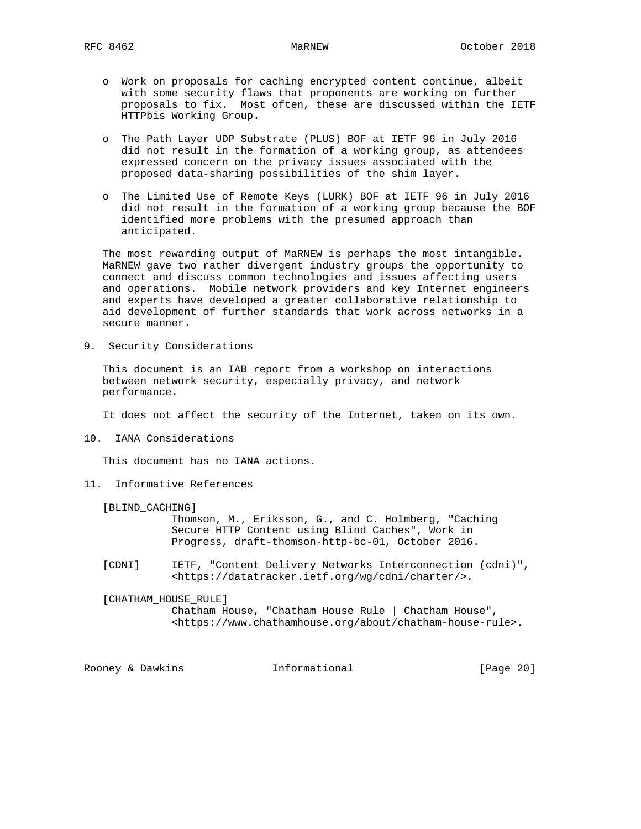- o Work on proposals for caching encrypted content continue, albeit with some security flaws that proponents are working on further proposals to fix. Most often, these are discussed within the IETF HTTPbis Working Group.
- o The Path Layer UDP Substrate (PLUS) BOF at IETF 96 in July 2016 did not result in the formation of a working group, as attendees expressed concern on the privacy issues associated with the proposed data-sharing possibilities of the shim layer.
- o The Limited Use of Remote Keys (LURK) BOF at IETF 96 in July 2016 did not result in the formation of a working group because the BOF identified more problems with the presumed approach than anticipated.

 The most rewarding output of MaRNEW is perhaps the most intangible. MaRNEW gave two rather divergent industry groups the opportunity to connect and discuss common technologies and issues affecting users and operations. Mobile network providers and key Internet engineers and experts have developed a greater collaborative relationship to aid development of further standards that work across networks in a secure manner.

9. Security Considerations

 This document is an IAB report from a workshop on interactions between network security, especially privacy, and network performance.

It does not affect the security of the Internet, taken on its own.

10. IANA Considerations

This document has no IANA actions.

11. Informative References

[BLIND\_CACHING]

 Thomson, M., Eriksson, G., and C. Holmberg, "Caching Secure HTTP Content using Blind Caches", Work in Progress, draft-thomson-http-bc-01, October 2016.

 [CDNI] IETF, "Content Delivery Networks Interconnection (cdni)", <https://datatracker.ietf.org/wg/cdni/charter/>.

[CHATHAM\_HOUSE\_RULE]

 Chatham House, "Chatham House Rule | Chatham House", <https://www.chathamhouse.org/about/chatham-house-rule>.

Rooney & Dawkins **Informational** [Page 20]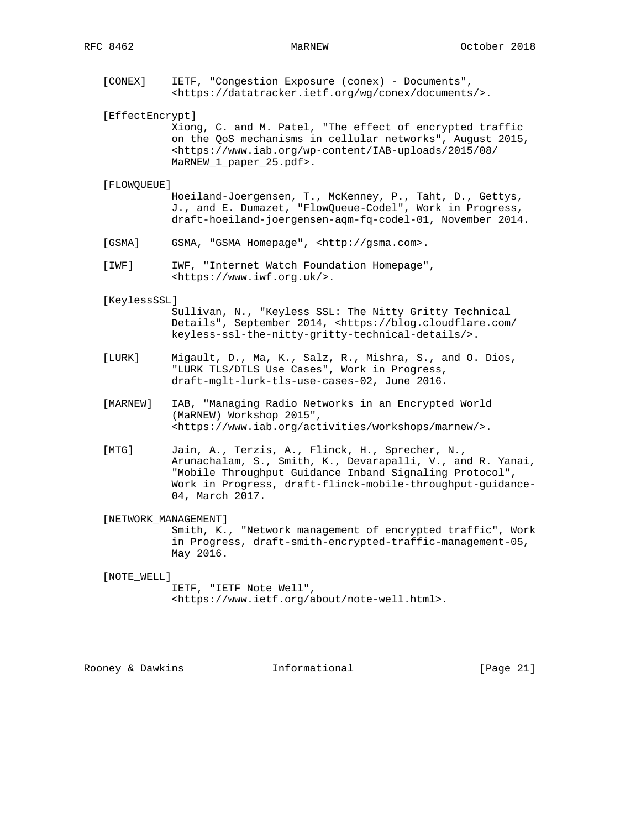[CONEX] IETF, "Congestion Exposure (conex) - Documents", <https://datatracker.ietf.org/wg/conex/documents/>.

[EffectEncrypt]

 Xiong, C. and M. Patel, "The effect of encrypted traffic on the QoS mechanisms in cellular networks", August 2015, <https://www.iab.org/wp-content/IAB-uploads/2015/08/ MaRNEW\_1\_paper\_25.pdf>.

### [FLOWQUEUE]

 Hoeiland-Joergensen, T., McKenney, P., Taht, D., Gettys, J., and E. Dumazet, "FlowQueue-Codel", Work in Progress, draft-hoeiland-joergensen-aqm-fq-codel-01, November 2014.

- [GSMA] GSMA, "GSMA Homepage", <http://gsma.com>.
- [IWF] IWF, "Internet Watch Foundation Homepage", <https://www.iwf.org.uk/>.

### [KeylessSSL]

 Sullivan, N., "Keyless SSL: The Nitty Gritty Technical Details", September 2014, <https://blog.cloudflare.com/ keyless-ssl-the-nitty-gritty-technical-details/>.

- [LURK] Migault, D., Ma, K., Salz, R., Mishra, S., and O. Dios, "LURK TLS/DTLS Use Cases", Work in Progress, draft-mglt-lurk-tls-use-cases-02, June 2016.
- [MARNEW] IAB, "Managing Radio Networks in an Encrypted World (MaRNEW) Workshop 2015", <https://www.iab.org/activities/workshops/marnew/>.
- [MTG] Jain, A., Terzis, A., Flinck, H., Sprecher, N., Arunachalam, S., Smith, K., Devarapalli, V., and R. Yanai, "Mobile Throughput Guidance Inband Signaling Protocol", Work in Progress, draft-flinck-mobile-throughput-guidance- 04, March 2017.

[NETWORK\_MANAGEMENT]

 Smith, K., "Network management of encrypted traffic", Work in Progress, draft-smith-encrypted-traffic-management-05, May 2016.

## [NOTE\_WELL] IETF, "IETF Note Well", <https://www.ietf.org/about/note-well.html>.

Rooney & Dawkins **Informational** [Page 21]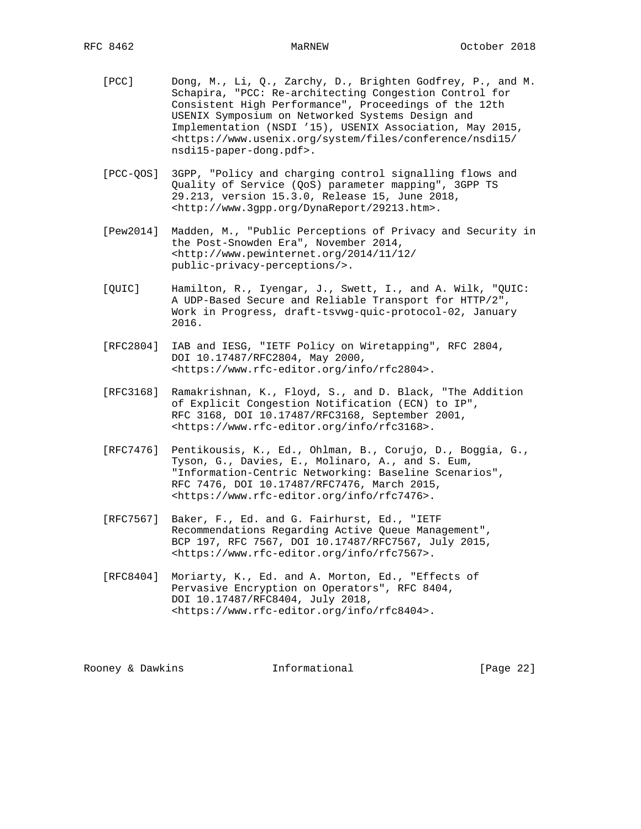- [PCC] Dong, M., Li, Q., Zarchy, D., Brighten Godfrey, P., and M. Schapira, "PCC: Re-architecting Congestion Control for Consistent High Performance", Proceedings of the 12th USENIX Symposium on Networked Systems Design and Implementation (NSDI '15), USENIX Association, May 2015, <https://www.usenix.org/system/files/conference/nsdi15/ nsdi15-paper-dong.pdf>.
- [PCC-QOS] 3GPP, "Policy and charging control signalling flows and Quality of Service (QoS) parameter mapping", 3GPP TS 29.213, version 15.3.0, Release 15, June 2018, <http://www.3gpp.org/DynaReport/29213.htm>.
- [Pew2014] Madden, M., "Public Perceptions of Privacy and Security in the Post-Snowden Era", November 2014, <http://www.pewinternet.org/2014/11/12/ public-privacy-perceptions/>.
- [QUIC] Hamilton, R., Iyengar, J., Swett, I., and A. Wilk, "QUIC: A UDP-Based Secure and Reliable Transport for HTTP/2", Work in Progress, draft-tsvwg-quic-protocol-02, January 2016.
- [RFC2804] IAB and IESG, "IETF Policy on Wiretapping", RFC 2804, DOI 10.17487/RFC2804, May 2000, <https://www.rfc-editor.org/info/rfc2804>.
- [RFC3168] Ramakrishnan, K., Floyd, S., and D. Black, "The Addition of Explicit Congestion Notification (ECN) to IP", RFC 3168, DOI 10.17487/RFC3168, September 2001, <https://www.rfc-editor.org/info/rfc3168>.
- [RFC7476] Pentikousis, K., Ed., Ohlman, B., Corujo, D., Boggia, G., Tyson, G., Davies, E., Molinaro, A., and S. Eum, "Information-Centric Networking: Baseline Scenarios", RFC 7476, DOI 10.17487/RFC7476, March 2015, <https://www.rfc-editor.org/info/rfc7476>.
- [RFC7567] Baker, F., Ed. and G. Fairhurst, Ed., "IETF Recommendations Regarding Active Queue Management", BCP 197, RFC 7567, DOI 10.17487/RFC7567, July 2015, <https://www.rfc-editor.org/info/rfc7567>.
- [RFC8404] Moriarty, K., Ed. and A. Morton, Ed., "Effects of Pervasive Encryption on Operators", RFC 8404, DOI 10.17487/RFC8404, July 2018, <https://www.rfc-editor.org/info/rfc8404>.

Rooney & Dawkins **Informational** [Page 22]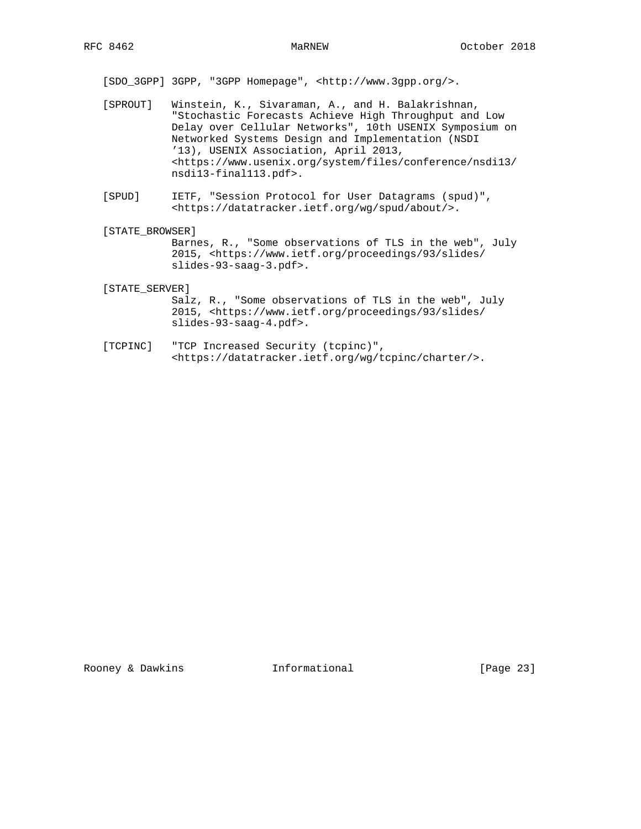[SDO\_3GPP] 3GPP, "3GPP Homepage", <http://www.3gpp.org/>.

- [SPROUT] Winstein, K., Sivaraman, A., and H. Balakrishnan, "Stochastic Forecasts Achieve High Throughput and Low Delay over Cellular Networks", 10th USENIX Symposium on Networked Systems Design and Implementation (NSDI '13), USENIX Association, April 2013, <https://www.usenix.org/system/files/conference/nsdi13/ nsdi13-final113.pdf>.
- [SPUD] IETF, "Session Protocol for User Datagrams (spud)", <https://datatracker.ietf.org/wg/spud/about/>.
- [STATE\_BROWSER]

 Barnes, R., "Some observations of TLS in the web", July 2015, <https://www.ietf.org/proceedings/93/slides/ slides-93-saag-3.pdf>.

[STATE\_SERVER]

 Salz, R., "Some observations of TLS in the web", July 2015, <https://www.ietf.org/proceedings/93/slides/ slides-93-saag-4.pdf>.

 [TCPINC] "TCP Increased Security (tcpinc)", <https://datatracker.ietf.org/wg/tcpinc/charter/>.

Rooney & Dawkins **Informational** [Page 23]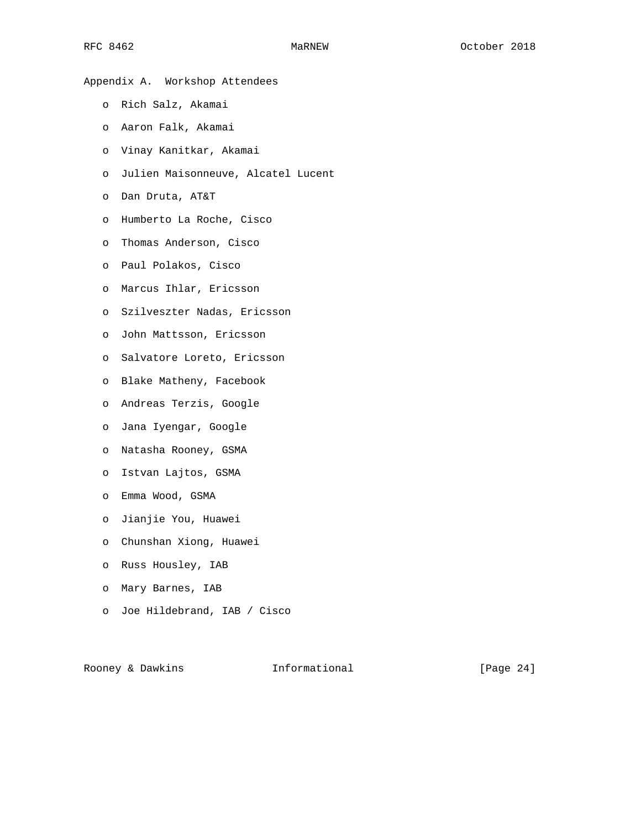Appendix A. Workshop Attendees

- o Rich Salz, Akamai
- o Aaron Falk, Akamai
- o Vinay Kanitkar, Akamai
- o Julien Maisonneuve, Alcatel Lucent
- o Dan Druta, AT&T
- o Humberto La Roche, Cisco
- o Thomas Anderson, Cisco
- o Paul Polakos, Cisco
- o Marcus Ihlar, Ericsson
- o Szilveszter Nadas, Ericsson
- o John Mattsson, Ericsson
- o Salvatore Loreto, Ericsson
- o Blake Matheny, Facebook
- o Andreas Terzis, Google
- o Jana Iyengar, Google
- o Natasha Rooney, GSMA
- o Istvan Lajtos, GSMA
- o Emma Wood, GSMA
- o Jianjie You, Huawei
- o Chunshan Xiong, Huawei
- o Russ Housley, IAB
- o Mary Barnes, IAB
- o Joe Hildebrand, IAB / Cisco

Rooney & Dawkins **Informational** [Page 24]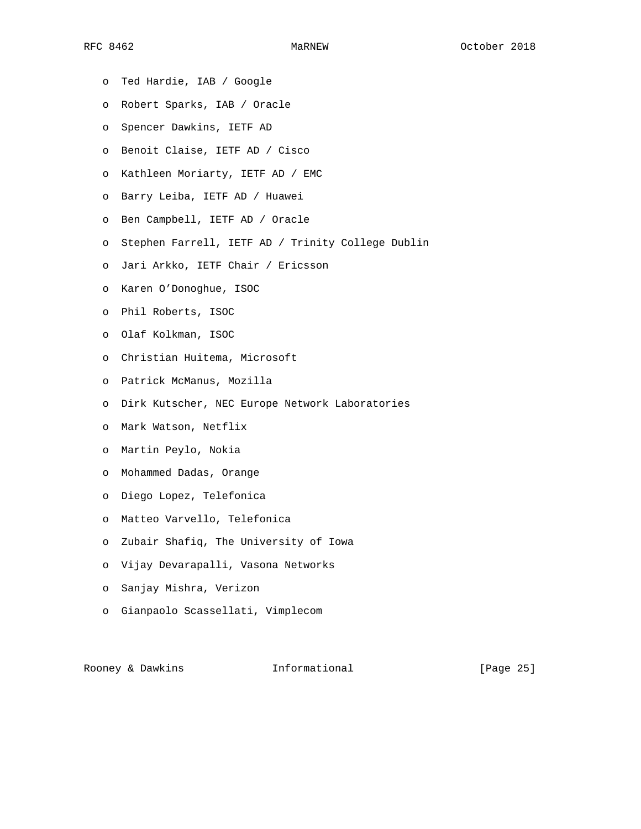- o Ted Hardie, IAB / Google
- o Robert Sparks, IAB / Oracle
- o Spencer Dawkins, IETF AD
- o Benoit Claise, IETF AD / Cisco
- o Kathleen Moriarty, IETF AD / EMC
- o Barry Leiba, IETF AD / Huawei
- o Ben Campbell, IETF AD / Oracle
- o Stephen Farrell, IETF AD / Trinity College Dublin
- o Jari Arkko, IETF Chair / Ericsson
- o Karen O'Donoghue, ISOC
- o Phil Roberts, ISOC
- o Olaf Kolkman, ISOC
- o Christian Huitema, Microsoft
- o Patrick McManus, Mozilla
- o Dirk Kutscher, NEC Europe Network Laboratories
- o Mark Watson, Netflix
- o Martin Peylo, Nokia
- o Mohammed Dadas, Orange
- o Diego Lopez, Telefonica
- o Matteo Varvello, Telefonica
- o Zubair Shafiq, The University of Iowa
- o Vijay Devarapalli, Vasona Networks
- o Sanjay Mishra, Verizon
- o Gianpaolo Scassellati, Vimplecom

Rooney & Dawkins **Informational** [Page 25]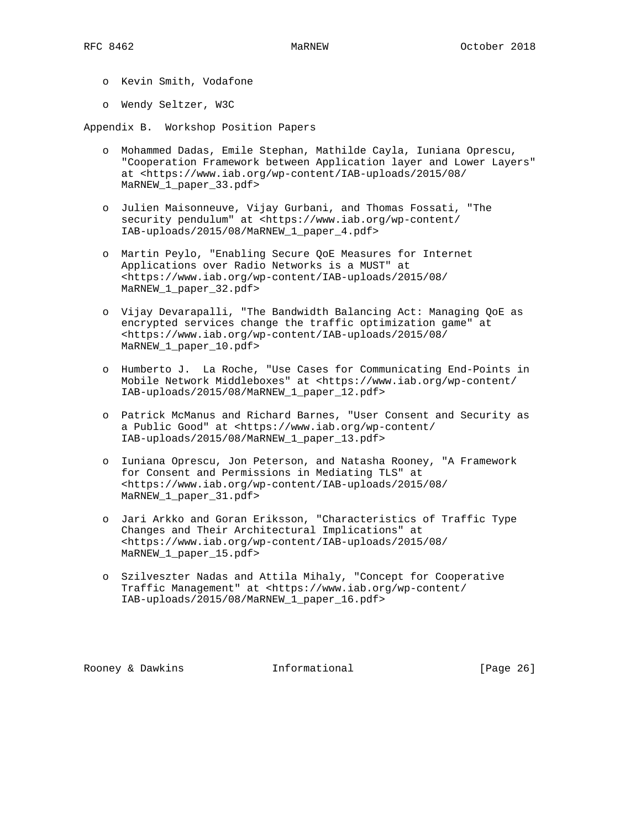- o Kevin Smith, Vodafone
- o Wendy Seltzer, W3C

Appendix B. Workshop Position Papers

- o Mohammed Dadas, Emile Stephan, Mathilde Cayla, Iuniana Oprescu, "Cooperation Framework between Application layer and Lower Layers" at <https://www.iab.org/wp-content/IAB-uploads/2015/08/ MaRNEW\_1\_paper\_33.pdf>
- o Julien Maisonneuve, Vijay Gurbani, and Thomas Fossati, "The security pendulum" at <https://www.iab.org/wp-content/ IAB-uploads/2015/08/MaRNEW\_1\_paper\_4.pdf>
- o Martin Peylo, "Enabling Secure QoE Measures for Internet Applications over Radio Networks is a MUST" at <https://www.iab.org/wp-content/IAB-uploads/2015/08/ MaRNEW\_1\_paper\_32.pdf>
- o Vijay Devarapalli, "The Bandwidth Balancing Act: Managing QoE as encrypted services change the traffic optimization game" at <https://www.iab.org/wp-content/IAB-uploads/2015/08/ MaRNEW\_1\_paper\_10.pdf>
- o Humberto J. La Roche, "Use Cases for Communicating End-Points in Mobile Network Middleboxes" at <https://www.iab.org/wp-content/ IAB-uploads/2015/08/MaRNEW\_1\_paper\_12.pdf>
- o Patrick McManus and Richard Barnes, "User Consent and Security as a Public Good" at <https://www.iab.org/wp-content/ IAB-uploads/2015/08/MaRNEW\_1\_paper\_13.pdf>
- o Iuniana Oprescu, Jon Peterson, and Natasha Rooney, "A Framework for Consent and Permissions in Mediating TLS" at <https://www.iab.org/wp-content/IAB-uploads/2015/08/ MaRNEW\_1\_paper\_31.pdf>
- o Jari Arkko and Goran Eriksson, "Characteristics of Traffic Type Changes and Their Architectural Implications" at <https://www.iab.org/wp-content/IAB-uploads/2015/08/ MaRNEW\_1\_paper\_15.pdf>
- o Szilveszter Nadas and Attila Mihaly, "Concept for Cooperative Traffic Management" at <https://www.iab.org/wp-content/ IAB-uploads/2015/08/MaRNEW\_1\_paper\_16.pdf>

Rooney & Dawkins **Informational** [Page 26]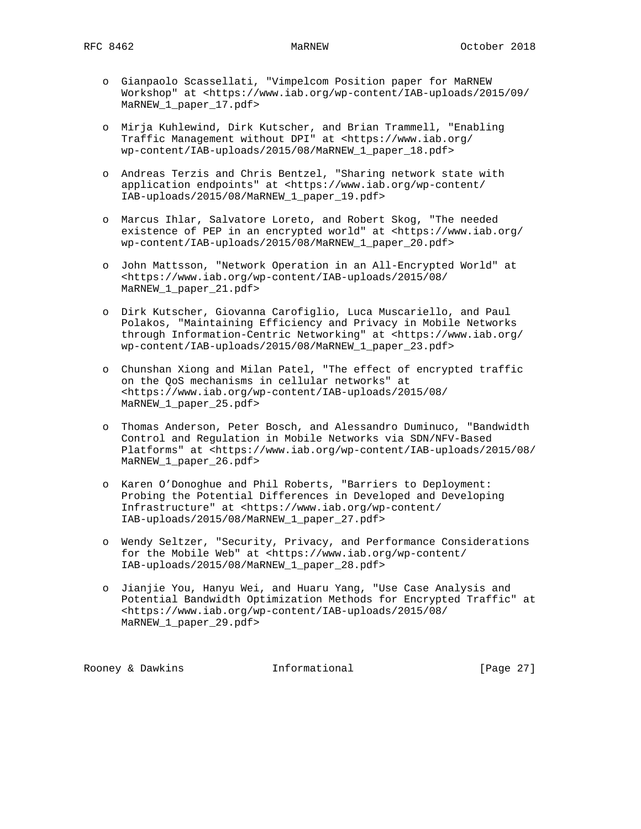- o Gianpaolo Scassellati, "Vimpelcom Position paper for MaRNEW Workshop" at <https://www.iab.org/wp-content/IAB-uploads/2015/09/ MaRNEW\_1\_paper\_17.pdf>
- o Mirja Kuhlewind, Dirk Kutscher, and Brian Trammell, "Enabling Traffic Management without DPI" at <https://www.iab.org/ wp-content/IAB-uploads/2015/08/MaRNEW\_1\_paper\_18.pdf>
- o Andreas Terzis and Chris Bentzel, "Sharing network state with application endpoints" at <https://www.iab.org/wp-content/ IAB-uploads/2015/08/MaRNEW\_1\_paper\_19.pdf>
- o Marcus Ihlar, Salvatore Loreto, and Robert Skog, "The needed existence of PEP in an encrypted world" at <https://www.iab.org/ wp-content/IAB-uploads/2015/08/MaRNEW\_1\_paper\_20.pdf>
- o John Mattsson, "Network Operation in an All-Encrypted World" at <https://www.iab.org/wp-content/IAB-uploads/2015/08/ MaRNEW\_1\_paper\_21.pdf>
- o Dirk Kutscher, Giovanna Carofiglio, Luca Muscariello, and Paul Polakos, "Maintaining Efficiency and Privacy in Mobile Networks through Information-Centric Networking" at <https://www.iab.org/ wp-content/IAB-uploads/2015/08/MaRNEW\_1\_paper\_23.pdf>
- o Chunshan Xiong and Milan Patel, "The effect of encrypted traffic on the QoS mechanisms in cellular networks" at <https://www.iab.org/wp-content/IAB-uploads/2015/08/ MaRNEW\_1\_paper\_25.pdf>
- o Thomas Anderson, Peter Bosch, and Alessandro Duminuco, "Bandwidth Control and Regulation in Mobile Networks via SDN/NFV-Based Platforms" at <https://www.iab.org/wp-content/IAB-uploads/2015/08/ MaRNEW\_1\_paper\_26.pdf>
- o Karen O'Donoghue and Phil Roberts, "Barriers to Deployment: Probing the Potential Differences in Developed and Developing Infrastructure" at <https://www.iab.org/wp-content/ IAB-uploads/2015/08/MaRNEW\_1\_paper\_27.pdf>
- o Wendy Seltzer, "Security, Privacy, and Performance Considerations for the Mobile Web" at <https://www.iab.org/wp-content/ IAB-uploads/2015/08/MaRNEW\_1\_paper\_28.pdf>
- o Jianjie You, Hanyu Wei, and Huaru Yang, "Use Case Analysis and Potential Bandwidth Optimization Methods for Encrypted Traffic" at <https://www.iab.org/wp-content/IAB-uploads/2015/08/ MaRNEW\_1\_paper\_29.pdf>

Rooney & Dawkins **Informational** [Page 27]